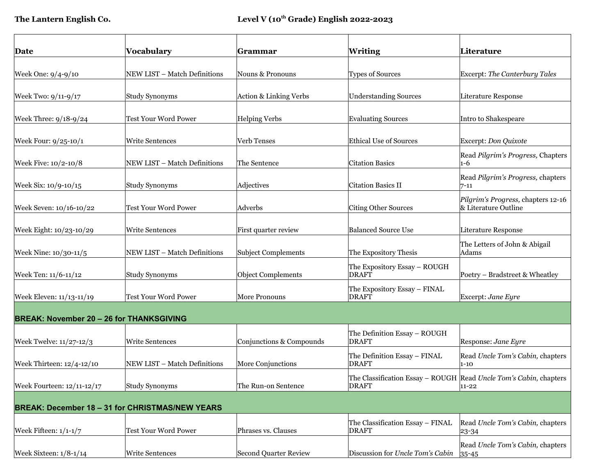| Date                                            | Vocabulary                                             | Grammar                   | <b>Writing</b>                                                                    | Literature                                                 |
|-------------------------------------------------|--------------------------------------------------------|---------------------------|-----------------------------------------------------------------------------------|------------------------------------------------------------|
|                                                 |                                                        |                           |                                                                                   |                                                            |
| Week One: 9/4-9/10                              | NEW LIST – Match Definitions                           | Nouns & Pronouns          | Types of Sources                                                                  | Excerpt: The Canterbury Tales                              |
|                                                 |                                                        |                           |                                                                                   |                                                            |
| Week Two: 9/11-9/17                             | <b>Study Synonyms</b>                                  | Action & Linking Verbs    | <b>Understanding Sources</b>                                                      | <b>Literature Response</b>                                 |
| Week Three: 9/18-9/24                           | <b>Test Your Word Power</b>                            | <b>Helping Verbs</b>      | <b>Evaluating Sources</b>                                                         | Intro to Shakespeare                                       |
| Week Four: 9/25-10/1                            | <b>Write Sentences</b>                                 | Verb Tenses               | <b>Ethical Use of Sources</b>                                                     | Excerpt: Don Quixote                                       |
| Week Five: 10/2-10/8                            | <b>NEW LIST - Match Definitions</b>                    | The Sentence              | <b>Citation Basics</b>                                                            | Read Pilgrim's Progress, Chapters<br>$1-6$                 |
| Week Six: 10/9-10/15                            | <b>Study Synonyms</b>                                  | Adjectives                | <b>Citation Basics II</b>                                                         | Read Pilgrim's Progress, chapters<br>$7 - 11$              |
| Week Seven: 10/16-10/22                         | <b>Test Your Word Power</b>                            | Adverbs                   | <b>Citing Other Sources</b>                                                       | Pilgrim's Progress, chapters 12-16<br>& Literature Outline |
| Week Eight: 10/23-10/29                         | <b>Write Sentences</b>                                 | First quarter review      | <b>Balanced Source Use</b>                                                        | Literature Response                                        |
| Week Nine: 10/30-11/5                           | NEW LIST – Match Definitions                           | Subject Complements       | The Expository Thesis                                                             | The Letters of John & Abigail<br>Adams                     |
| Week Ten: 11/6-11/12                            | <b>Study Synonyms</b>                                  | <b>Object Complements</b> | The Expository Essay - ROUGH<br><b>DRAFT</b>                                      | Poetry - Bradstreet & Wheatley                             |
| Week Eleven: 11/13-11/19                        | <b>Test Your Word Power</b>                            | More Pronouns             | The Expository Essay - FINAL<br><b>DRAFT</b>                                      | Excerpt: Jane Eyre                                         |
| <b>BREAK: November 20 - 26 for THANKSGIVING</b> |                                                        |                           |                                                                                   |                                                            |
| Week Twelve: 11/27-12/3                         | <b>Write Sentences</b>                                 | Conjunctions & Compounds  | The Definition Essay - ROUGH<br><b>DRAFT</b>                                      | Response: Jane Eyre                                        |
| Week Thirteen: 12/4-12/10                       | NEW LIST - Match Definitions                           | More Conjunctions         | The Definition Essay - FINAL<br><b>DRAFT</b>                                      | Read Uncle Tom's Cabin, chapters<br>$1 - 10$               |
| Week Fourteen: 12/11-12/17                      | Study Synonyms                                         | The Run-on Sentence       | The Classification Essay - ROUGH Read Uncle Tom's Cabin, chapters<br><b>DRAFT</b> | $11 - 22$                                                  |
|                                                 | <b>BREAK: December 18 - 31 for CHRISTMAS/NEW YEARS</b> |                           |                                                                                   |                                                            |
| Week Fifteen: 1/1-1/7                           | <b>Test Your Word Power</b>                            | Phrases vs. Clauses       | The Classification Essay - FINAL<br><b>DRAFT</b>                                  | Read Uncle Tom's Cabin, chapters<br>23-34                  |
| Week Sixteen: 1/8-1/14                          | Write Sentences                                        | Second Quarter Review     | Discussion for Uncle Tom's Cabin                                                  | Read Uncle Tom's Cabin, chapters<br>$ 35 - 45 $            |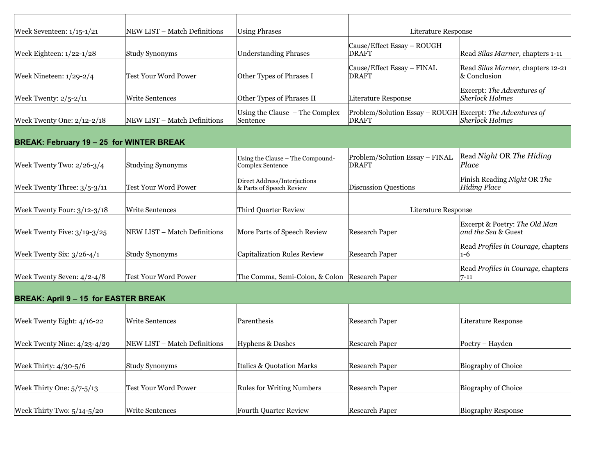| Week Seventeen: 1/15-1/21                       | NEW LIST – Match Definitions        | <b>Using Phrases</b>                                        | Literature Response                                                       |                                                      |
|-------------------------------------------------|-------------------------------------|-------------------------------------------------------------|---------------------------------------------------------------------------|------------------------------------------------------|
| Week Eighteen: 1/22-1/28                        | <b>Study Synonyms</b>               | <b>Understanding Phrases</b>                                | Cause/Effect Essay - ROUGH<br>DRAFT                                       | Read Silas Marner, chapters 1-11                     |
| Week Nineteen: 1/29-2/4                         | Test Your Word Power                | Other Types of Phrases I                                    | Cause/Effect Essay - FINAL<br><b>DRAFT</b>                                | Read Silas Marner, chapters 12-21<br>& Conclusion    |
| Week Twenty: 2/5-2/11                           | Write Sentences                     | Other Types of Phrases II                                   | Literature Response                                                       | Excerpt: The Adventures of<br><b>Sherlock Holmes</b> |
| Week Twenty One: 2/12-2/18                      | NEW LIST – Match Definitions        | Using the Clause $-$ The Complex<br>Sentence                | Problem/Solution Essay - ROUGH Excerpt: The Adventures of<br><b>DRAFT</b> | Sherlock Holmes                                      |
| <b>BREAK: February 19 - 25 for WINTER BREAK</b> |                                     |                                                             |                                                                           |                                                      |
| Week Twenty Two: 2/26-3/4                       | <b>Studying Synonyms</b>            | Using the Clause - The Compound-<br><b>Complex Sentence</b> | Problem/Solution Essay - FINAL<br><b>DRAFT</b>                            | Read Night OR The Hiding<br>Place                    |
| Week Twenty Three: 3/5-3/11                     | Test Your Word Power                | Direct Address/Interjections<br>& Parts of Speech Review    | <b>Discussion Questions</b>                                               | Finish Reading Night OR The<br><b>Hiding Place</b>   |
| Week Twenty Four: 3/12-3/18                     | <b>Write Sentences</b>              | <b>Third Quarter Review</b>                                 | Literature Response                                                       |                                                      |
| Week Twenty Five: 3/19-3/25                     | NEW LIST – Match Definitions        | More Parts of Speech Review                                 | <b>Research Paper</b>                                                     | Excerpt & Poetry: The Old Man<br>and the Sea & Guest |
| Week Twenty Six: 3/26-4/1                       | Study Synonyms                      | <b>Capitalization Rules Review</b>                          | <b>Research Paper</b>                                                     | Read Profiles in Courage, chapters<br>1-6            |
| Week Twenty Seven: 4/2-4/8                      | <b>Test Your Word Power</b>         | The Comma, Semi-Colon, & Colon                              | <b>Research Paper</b>                                                     | Read Profiles in Courage, chapters<br>$7 - 11$       |
| <b>BREAK: April 9 - 15 for EASTER BREAK</b>     |                                     |                                                             |                                                                           |                                                      |
|                                                 |                                     |                                                             |                                                                           |                                                      |
| Week Twenty Eight: 4/16-22                      | Write Sentences                     | Parenthesis                                                 | <b>Research Paper</b>                                                     | Literature Response                                  |
| Week Twenty Nine: 4/23-4/29                     | <b>NEW LIST – Match Definitions</b> | <b>Hyphens &amp; Dashes</b>                                 | <b>Research Paper</b>                                                     | Poetry – Hayden                                      |
| Week Thirty: 4/30-5/6                           | <b>Study Synonyms</b>               | Italics & Quotation Marks                                   | <b>Research Paper</b>                                                     | <b>Biography of Choice</b>                           |
| Week Thirty One: 5/7-5/13                       | <b>Test Your Word Power</b>         | <b>Rules for Writing Numbers</b>                            | <b>Research Paper</b>                                                     | <b>Biography of Choice</b>                           |
| Week Thirty Two: 5/14-5/20                      | Write Sentences                     | Fourth Ouarter Review                                       | <b>Research Paper</b>                                                     | <b>Biography Response</b>                            |